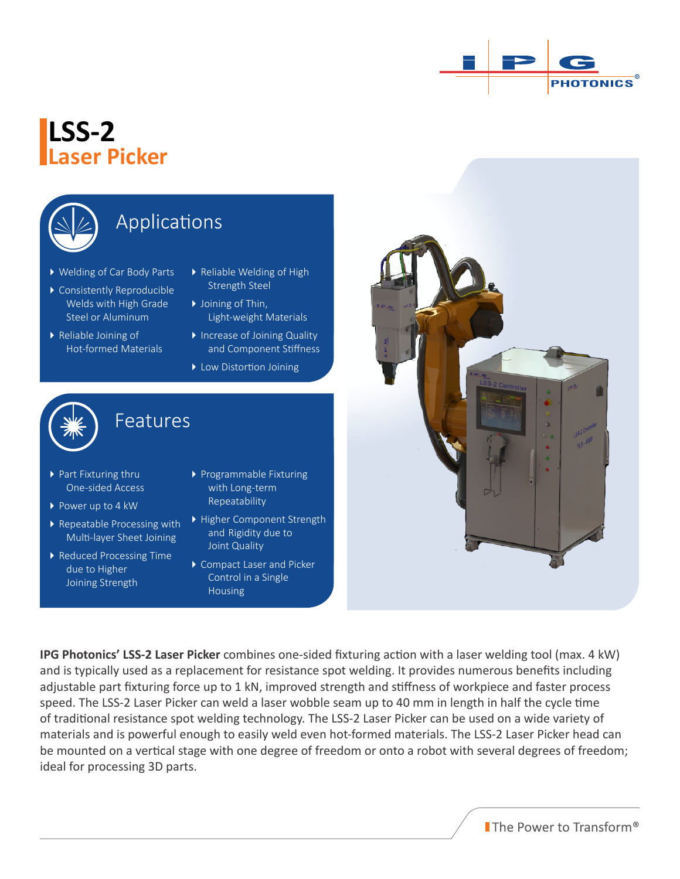

## **LSS-2 Laser Picker**



## Applications

- Welding of Car Body Parts
- Consistently Reproducible Welds with High Grade Steel or Aluminum
- Reliable Joining of Hot-formed Materials
- Reliable Welding of High Strength Steel
- ▶ Joining of Thin, Light-weight Materials
- Increase of Joining Quality and Component Stiffness
- ▶ Low Distortion Joining



### Features

Features

- ▶ Part Fixturing thru One-sided Access
- Power up to 4 kW
- Repeatable Processing with Multi-layer Sheet Joining
- Reduced Processing Time due to Higher Joining Strength
- Programmable Fixturing with Long-term Repeatability
- Higher Component Strength and Rigidity due to Joint Quality
- ▶ Compact Laser and Picker Control in a Single Housing



**IPG Photonics' LSS-2 Laser Picker** combines one-sided fixturing action with a laser welding tool (max. 4 kW) and is typically used as a replacement for resistance spot welding. It provides numerous benefits including adjustable part fixturing force up to 1 kN, improved strength and stiffness of workpiece and faster process speed. The LSS-2 Laser Picker can weld a laser wobble seam up to 40 mm in length in half the cycle time of traditional resistance spot welding technology. The LSS-2 Laser Picker can be used on a wide variety of materials and is powerful enough to easily weld even hot-formed materials. The LSS-2 Laser Picker head can be mounted on a vertical stage with one degree of freedom or onto a robot with several degrees of freedom; ideal for processing 3D parts.